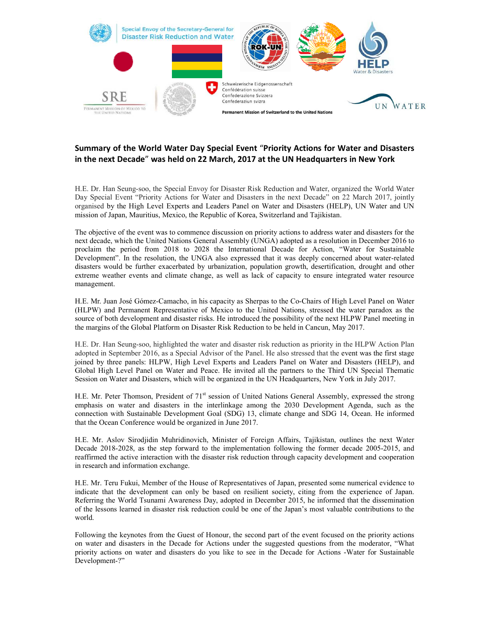

## **Summary of the World Water Day Special Event** "**Priority Actions for Water and Disasters in the next Decade**" **was held on 22 March, 2017 at the UN Headquarters in New York**

H.E. Dr. Han Seung-soo, the Special Envoy for Disaster Risk Reduction and Water, organized the World Water Day Special Event "Priority Actions for Water and Disasters in the next Decade" on 22 March 2017, jointly organised by the High Level Experts and Leaders Panel on Water and Disasters (HELP), UN Water and UN mission of Japan, Mauritius, Mexico, the Republic of Korea, Switzerland and Tajikistan.

The objective of the event was to commence discussion on priority actions to address water and disasters for the next decade, which the United Nations General Assembly (UNGA) adopted as a resolution in December 2016 to proclaim the period from 2018 to 2028 the International Decade for Action, "Water for Sustainable Development". In the resolution, the UNGA also expressed that it was deeply concerned about water-related disasters would be further exacerbated by urbanization, population growth, desertification, drought and other extreme weather events and climate change, as well as lack of capacity to ensure integrated water resource management.

H.E. Mr. Juan José Gómez-Camacho, in his capacity as Sherpas to the Co-Chairs of High Level Panel on Water (HLPW) and Permanent Representative of Mexico to the United Nations, stressed the water paradox as the source of both development and disaster risks. He introduced the possibility of the next HLPW Panel meeting in the margins of the Global Platform on Disaster Risk Reduction to be held in Cancun, May 2017.

H.E. Dr. Han Seung-soo, highlighted the water and disaster risk reduction as priority in the HLPW Action Plan adopted in September 2016, as a Special Advisor of the Panel. He also stressed that the event was the first stage joined by three panels: HLPW, High Level Experts and Leaders Panel on Water and Disasters (HELP), and Global High Level Panel on Water and Peace. He invited all the partners to the Third UN Special Thematic Session on Water and Disasters, which will be organized in the UN Headquarters, New York in July 2017.

H.E. Mr. Peter Thomson, President of 71<sup>st</sup> session of United Nations General Assembly, expressed the strong emphasis on water and disasters in the interlinkage among the 2030 Development Agenda, such as the connection with Sustainable Development Goal (SDG) 13, climate change and SDG 14, Ocean. He informed that the Ocean Conference would be organized in June 2017.

H.E. Mr. Aslov Sirodjidin Muhridinovich, Minister of Foreign Affairs, Tajikistan, outlines the next Water Decade 2018-2028, as the step forward to the implementation following the former decade 2005-2015, and reaffirmed the active interaction with the disaster risk reduction through capacity development and cooperation in research and information exchange.

H.E. Mr. Teru Fukui, Member of the House of Representatives of Japan, presented some numerical evidence to indicate that the development can only be based on resilient society, citing from the experience of Japan. Referring the World Tsunami Awareness Day, adopted in December 2015, he informed that the dissemination of the lessons learned in disaster risk reduction could be one of the Japan's most valuable contributions to the world.

Following the keynotes from the Guest of Honour, the second part of the event focused on the priority actions on water and disasters in the Decade for Actions under the suggested questions from the moderator, "What priority actions on water and disasters do you like to see in the Decade for Actions -Water for Sustainable Development-?"